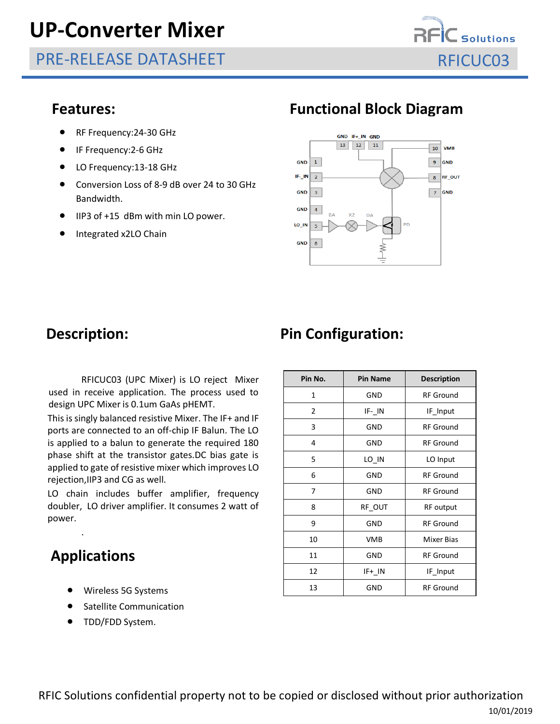# **UP-Converter Mixer**

PRE-RELEASE DATASHEET REICUC03



- RF Frequency:24-30 GHz
- IF Frequency:2-6 GHz
- LO Frequency:13-18 GHz
- Conversion Loss of 8-9 dB over 24 to 30 GHz Bandwidth.
- IIP3 of +15 dBm with min LO power.
- Integrated x2LO Chain

### **Features: Functional Block Diagram**



RFICUC03 (UPC Mixer) is LO reject Mixer used in receive application. The process used to design UPC Mixer is 0.1um GaAs pHEMT.

This is singly balanced resistive Mixer. The IF+ and IF ports are connected to an off-chip IF Balun. The LO is applied to a balun to generate the required 180 phase shift at the transistor gates.DC bias gate is applied to gate of resistive mixer which improves LO rejection,IIP3 and CG as well.

LO chain includes buffer amplifier, frequency doubler, LO driver amplifier. It consumes 2 watt of power.

## **Applications**

.

- Wireless 5G Systems
- Satellite Communication
- TDD/FDD System.

## **Description:** Pin Configuration:

| Pin No.      | <b>Pin Name</b> | <b>Description</b> |  |  |
|--------------|-----------------|--------------------|--|--|
| $\mathbf{1}$ | GND             | <b>RF Ground</b>   |  |  |
| 2            | $IF - IN$       | IF Input           |  |  |
| 3            | <b>GND</b>      | <b>RF</b> Ground   |  |  |
| 4            | GND             | <b>RF</b> Ground   |  |  |
| 5            | LO IN           | LO Input           |  |  |
| 6            | <b>GND</b>      | <b>RF</b> Ground   |  |  |
| 7            | <b>GND</b>      | <b>RF</b> Ground   |  |  |
| 8            | RF_OUT          | RF output          |  |  |
| 9            | GND             | <b>RF Ground</b>   |  |  |
| 10           | <b>VMB</b>      | <b>Mixer Bias</b>  |  |  |
| 11           | GND             | <b>RF</b> Ground   |  |  |
| 12           | IF+ IN          | IF Input           |  |  |
| 13           | GND             | <b>RF</b> Ground   |  |  |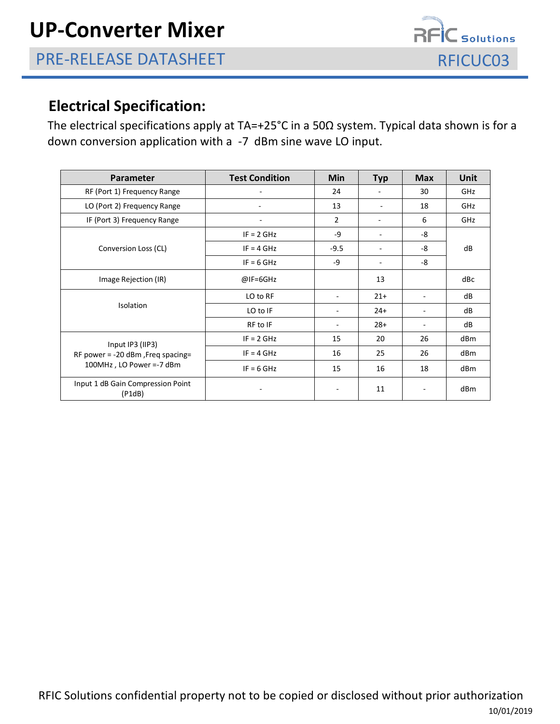

### **Electrical Specification:**

The electrical specifications apply at TA=+25°C in a 50Ω system. Typical data shown is for a down conversion application with a -7 dBm sine wave LO input.

| <b>Parameter</b>                                                                    | <b>Test Condition</b>    | <b>Min</b>                   | <b>Typ</b> | <b>Max</b>               | <b>Unit</b> |
|-------------------------------------------------------------------------------------|--------------------------|------------------------------|------------|--------------------------|-------------|
| RF (Port 1) Frequency Range                                                         |                          | 24                           |            | 30                       | GHz         |
| LO (Port 2) Frequency Range                                                         | ۰                        | 13                           |            | 18                       | GHz         |
| IF (Port 3) Frequency Range                                                         | $\overline{\phantom{a}}$ | $\overline{2}$               |            | 6                        | GHz         |
| Conversion Loss (CL)                                                                | $IF = 2 GHz$             | -9                           |            | -8                       | dB          |
|                                                                                     | $IF = 4 GHz$             | $-9.5$                       |            | -8                       |             |
|                                                                                     | $IF = 6 GHz$             | $-9$                         |            | -8                       |             |
| Image Rejection (IR)                                                                | $@IF=6GHz$               |                              | 13         |                          | dBc         |
| <b>Isolation</b>                                                                    | LO to RF                 | $\qquad \qquad \blacksquare$ | $21+$      |                          | dB          |
|                                                                                     | LO to IF                 | $\qquad \qquad \blacksquare$ | $24+$      |                          | dB          |
|                                                                                     | RF to IF                 | $\qquad \qquad \blacksquare$ | $28+$      | $\overline{\phantom{a}}$ | dB          |
| Input IP3 (IIP3)<br>RF power = $-20$ dBm, Freq spacing=<br>100MHz, LO Power =-7 dBm | $IF = 2 GHz$             | 15                           | 20         | 26                       | dBm         |
|                                                                                     | $IF = 4 GHz$             | 16                           | 25         | 26                       | dBm         |
|                                                                                     | $IF = 6 GHz$             | 15                           | 16         | 18                       | dBm         |
| Input 1 dB Gain Compression Point<br>(P1dB)                                         |                          |                              | 11         |                          | dBm         |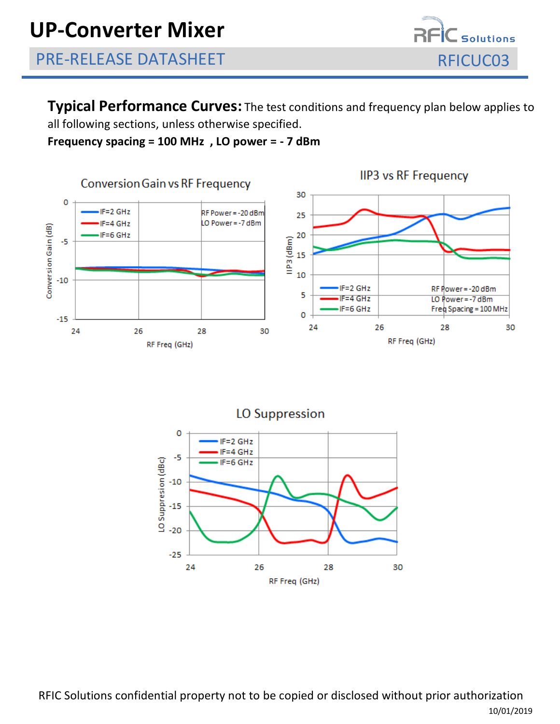

**Typical Performance Curves:** The test conditions and frequency plan below applies to all following sections, unless otherwise specified.

**Frequency spacing = 100 MHz , LO power = - 7 dBm**



**LO Suppression**  $\circ$ IF=2 GHz IF=4 GHz -5 LO Suppresion (dBc)  $F=6$  GHz  $-10$  $-15$  $-20$  $-25$ 24 26 28 30 RF Freq (GHz)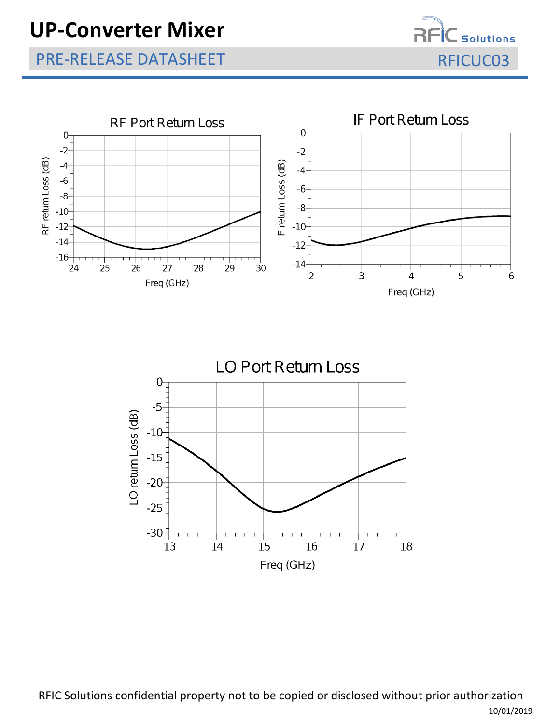# **UP-Converter Mixer**

## PRE-RELEASE DATASHEET RELEASE OF A STREET AND RELEASE OF A STREET AND RELEASE OF A STREET AND RELEASE OF A STR







RFIC Solutions confidential property not to be copied or disclosed without prior authorization 10/01/2019